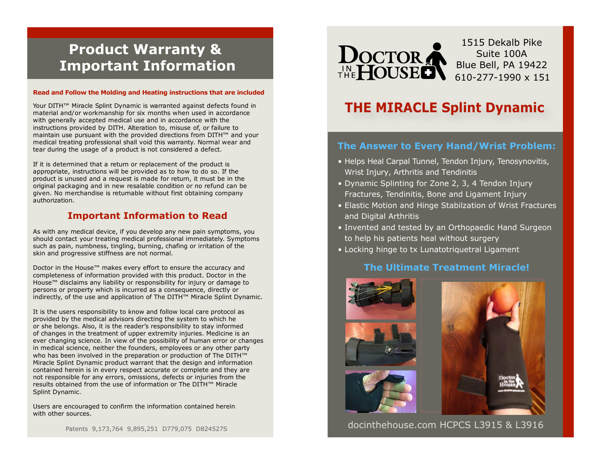# **Product Warranty & Important Information**

### **Read and Follow the Molding and Heating instructions that are included**

Your DITH™ Miracle Splint Dynamic is warranted against defects found in material and/or workmanship for six months when used in accordance with generally accepted medical use and in accordance with the instructions provided by DITH. Alteration to, misuse of, or failure to maintain use pursuant with the provided directions from DITH™ and your medical treating professional shall void this warranty. Normal wear and tear during the usage of a product is not considered a defect.

If it is determined that a return or replacement of the product is appropriate, instructions will be provided as to how to do so. If the product is unused and a request is made for return, it must be in the original packaging and in new resalable condition or no refund can be given. No merchandise is returnable without first obtaining company authorization.

### **Important Information to Read**

As with any medical device, if you develop any new pain symptoms, you should contact your treating medical professional immediately. Symptoms such as pain, numbness, tingling, burning, chafing or irritation of the skin and progressive stiffness are not normal.

Doctor in the House™ makes every effort to ensure the accuracy and completeness of information provided with this product. Doctor in the House™ disclaims any liability or responsibility for injury or damage to persons or property which is incurred as a consequence, directly or indirectly, of the use and application of The DITH™ Miracle Splint Dynamic.

It is the users responsibility to know and follow local care protocol as provided by the medical advisors directing the system to which he or she belongs. Also, it is the reader's responsibility to stay informed of changes in the treatment of upper extremity injuries. Medicine is an ever changing science. In view of the possibility of human error or changes in medical science, neither the founders, employees or any other party who has been involved in the preparation or production of The DITH™ Miracle Splint Dynamic product warrant that the design and information contained herein is in every respect accurate or complete and they are not responsible for any errors, omissions, defects or injuries from the results obtained from the use of information or The DITH™ Miracle Splint Dynamic.

Users are encouraged to confirm the information contained herein with other sources.

Patents 9,173,764 9,895,251 D779,075 D824527S



1515 Dekalb Pike Suite 100A Blue Bell, PA 19422 610-277-1990 x 151

# **THE MIRACLE Splint Dynamic**

### **The Answer to Every Hand/Wrist Problem:**

- Helps Heal Carpal Tunnel, Tendon Injury, Tenosynovitis, Wrist Injury, Arthritis and Tendinitis
- Dynamic Splinting for Zone 2, 3, 4 Tendon Injury Fractures, Tendinitis, Bone and Ligament Injury
- Elastic Motion and Hinge Stabilzation of Wrist Fractures and Digital Arthritis
- Invented and tested by an Orthopaedic Hand Surgeon to help his patients heal without surgery
- Locking hinge to tx Lunatotriquetral Ligament

### **The Ultimate Treatment Miracle!**



docinthehouse.com HCPCS L3915 & L3916